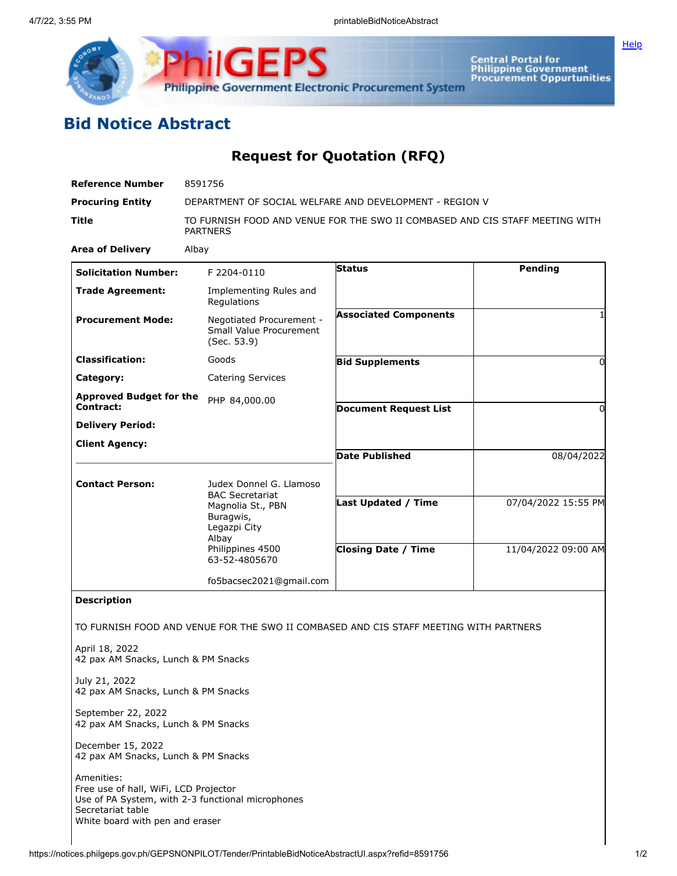

**ilGEPS Philippine Government Electronic Procurement System** 

**Central Portal for<br>Philippine Government<br>Procurement Oppurtunities** 

## **Bid Notice Abstract**

## **Request for Quotation (RFQ)**

| <b>Reference Number</b>                                                  | 8591756<br>DEPARTMENT OF SOCIAL WELFARE AND DEVELOPMENT - REGION V                              |                                                                                       |                     |
|--------------------------------------------------------------------------|-------------------------------------------------------------------------------------------------|---------------------------------------------------------------------------------------|---------------------|
| <b>Procuring Entity</b>                                                  |                                                                                                 |                                                                                       |                     |
| <b>Title</b>                                                             | TO FURNISH FOOD AND VENUE FOR THE SWO II COMBASED AND CIS STAFF MEETING WITH<br><b>PARTNERS</b> |                                                                                       |                     |
| <b>Area of Delivery</b>                                                  | Albay                                                                                           |                                                                                       |                     |
| <b>Solicitation Number:</b>                                              | F 2204-0110                                                                                     | <b>Status</b>                                                                         | Pending             |
| <b>Trade Agreement:</b>                                                  | Implementing Rules and<br>Regulations                                                           |                                                                                       |                     |
| <b>Procurement Mode:</b>                                                 | Negotiated Procurement -<br>Small Value Procurement<br>(Sec. 53.9)                              | <b>Associated Components</b>                                                          |                     |
| <b>Classification:</b>                                                   | Goods                                                                                           | <b>Bid Supplements</b>                                                                | 0                   |
| Category:                                                                | <b>Catering Services</b>                                                                        |                                                                                       |                     |
| <b>Approved Budget for the</b><br>Contract:                              | PHP 84,000.00                                                                                   | <b>Document Request List</b>                                                          | 0                   |
| <b>Delivery Period:</b>                                                  |                                                                                                 |                                                                                       |                     |
| <b>Client Agency:</b>                                                    |                                                                                                 |                                                                                       |                     |
|                                                                          |                                                                                                 | <b>Date Published</b>                                                                 | 08/04/2022          |
| <b>Contact Person:</b>                                                   | Judex Donnel G. Llamoso<br><b>BAC Secretariat</b>                                               |                                                                                       |                     |
|                                                                          | Magnolia St., PBN<br>Buragwis,<br>Legazpi City                                                  | Last Updated / Time                                                                   | 07/04/2022 15:55 PM |
|                                                                          | Albay<br>Philippines 4500<br>63-52-4805670                                                      | <b>Closing Date / Time</b>                                                            | 11/04/2022 09:00 AM |
|                                                                          | fo5bacsec2021@gmail.com                                                                         |                                                                                       |                     |
| <b>Description</b>                                                       |                                                                                                 |                                                                                       |                     |
|                                                                          |                                                                                                 | TO FURNISH FOOD AND VENUE FOR THE SWO II COMBASED AND CIS STAFF MEETING WITH PARTNERS |                     |
| April 18, 2022<br>42 pax AM Snacks, Lunch & PM Snacks                    |                                                                                                 |                                                                                       |                     |
| July 21, 2022<br>42 pax AM Snacks, Lunch & PM Snacks                     |                                                                                                 |                                                                                       |                     |
| September 22, 2022<br>42 pax AM Snacks, Lunch & PM Snacks                |                                                                                                 |                                                                                       |                     |
| December 15, 2022<br>42 pax AM Snacks, Lunch & PM Snacks                 |                                                                                                 |                                                                                       |                     |
| Amenities:<br>Free use of hall, WiFi, LCD Projector<br>Secretariat table | Use of PA System, with 2-3 functional microphones                                               |                                                                                       |                     |

White board with pen and eraser